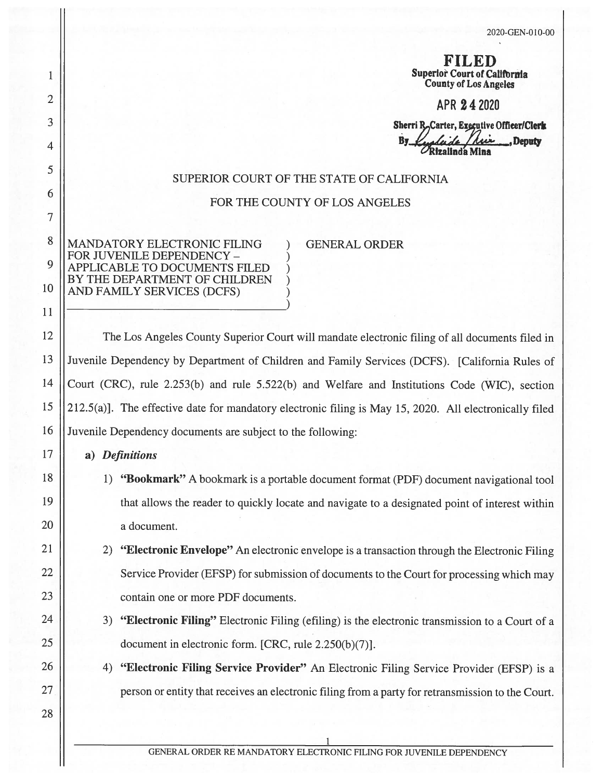**RIJAED** 1 | Superlor Court of California County of Los Angeles

 $2 \parallel$  APR 24 2020

3 || Sherri R<sub>o</sub>Carter, Executive Officer/Clerk By *<i>Leadaide Ari*z Deputy Rizalinda Mina

#### SUPERIOR COURT OF THE STATE OF CALIFORNIA

FOR THE COUNTY OF LOS ANGELES

<sup>8</sup> MANDATORY ELECTRONIC FILING ) GENERAL ORDER<br>
9 MANDATORY ELECTRONIC FILING ) GENERAL ORDER<br>
9 APPLICABLE TO DOCUMENTS FILED <sup>9</sup> APPLICABLE TO DOCUMENTS FILED<br>BY THE DEPARTMENT OF CHILDREN<br>10 AND FAMILY SERVICES (DCFS)

<sup>11</sup> )

12 | The Los Angeles County Superior Court will mandate electronic filing of all documents filed in 13 | Juvenile Dependency by Department of Children and Family Services (DCFS). [California Rules of 14 Court (CRC), rule 2.253(b) and rule 5.522(b) and Welfare and Institutions Code (WIC), section 15  $||212.5(a)|$ . The effective date for mandatory electronic filing is May 15, 2020. All electronically filed <sup>16</sup> Juvenile Dependency documents are subject to the following:

### 17 **a**) Definitions

6

5

 $\overline{4}$ 

7

28

- <sup>18</sup> 1) "Bookmark" <sup>A</sup> bookmark is <sup>a</sup> portable document format (PDF) document navigational tool <sup>19</sup> that allows the reader to quickly locate and navigate to <sup>a</sup> designated point of interest within 20 || a document.
- <sup>21</sup> 2) "Electronic Envelope" An electronic envelope is <sup>a</sup> transaction through the Electronic Filing 22 Service Provider (EFSP) for submission of documents to the Court for processing which may 23 | contain one or more PDF documents.
- 24 | 3) **"Electronic Filing"** Electronic Filing (efiling) is the electronic transmission to a Court of a 25 | document in electronic form. [CRC, rule 2.250(b)(7)].
- 26 | 4) **"Electronic Filing Service Provider"** An Electronic Filing Service Provider (EFSP) is a <sup>27</sup> person or entity that receives an electronic filing from <sup>a</sup> party for retransmission to the Court.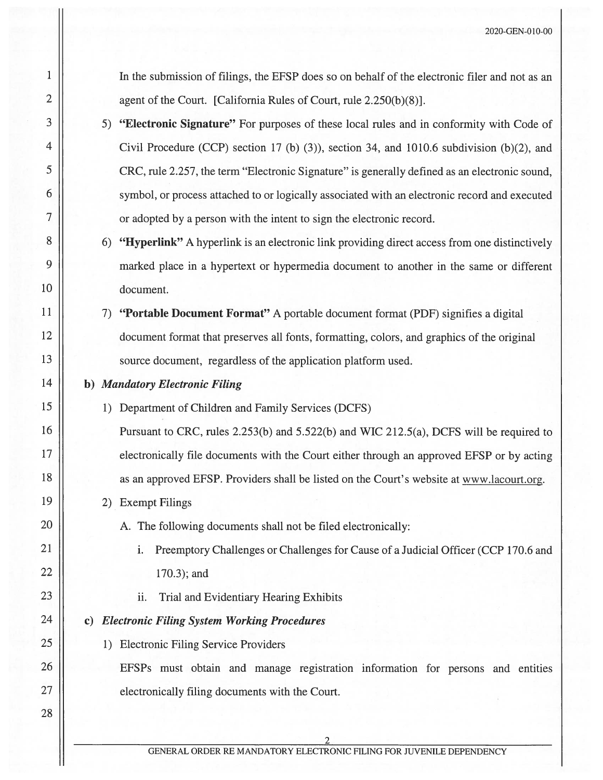<sup>1</sup> In the submission of filings, the EFSP does so on behalf of the electronic filer and not as an 2  $\parallel$  agent of the Court. [California Rules of Court, rule 2.250(b)(8)].

- 3 | 5) **"Electronic Signature"** For purposes of these local rules and in conformity with Code of <sup>4</sup> Civil Procedure (CCP) section <sup>17</sup> (b) (3)), section 34, and 1010.6 subdivision (b)(2), and <sup>5</sup> CRC, rule 2.257, the term "Electronic Signature" is generally defined as an electronic sound, <sup>6</sup> symbol, or process attached to or logically associated with an electronic record and executed 7 | or adopted by a person with the intent to sign the electronic record.
- 8 6) "Hyperlink" A hyperlink is an electronic link providing direct access from one distinctively <sup>9</sup> marked <sup>p</sup>lace in <sup>a</sup> hypertext or hypermedia document to another in the same or different 10 document.
- <sup>11</sup> 7) "Portable Document Format" <sup>A</sup> portable document format (PDF) signifies <sup>a</sup> digital <sup>12</sup> document format that preserves all fonts, formatting, colors, and graphics of the original 13 || source document, regardless of the application platform used.
- 14 **b**) Mandatory Electronic Filing
- <sup>15</sup> 1) Department of Children and family Services (DCFS)

16 | Pursuant to CRC, rules 2.253(b) and 5.522(b) and WIC 212.5(a), DCFS will be required to 17 electronically file documents with the Court either through an approved EFSP or by acting 18 | as an approved EFSP. Providers shall be listed on the Court's website at www.lacourt.org.

19 | 2) Exempt Filings

28

- 20 | A. The following documents shall not be filed electronically:
- 21 | i. Preemptory Challenges or Challenges for Cause of a Judicial Officer (CCP 170.6 and 22 | 170.3); and
- <sup>23</sup> ii. Trial and Evidentiary Hearing Exhibits

# 24 **c**) Electronic Filing System Working Procedures

25 | 1) Electronic Filing Service Providers

26 | EFSPs must obtain and manage registration information for persons and entities 27 **electronically filing documents with the Court.** 

2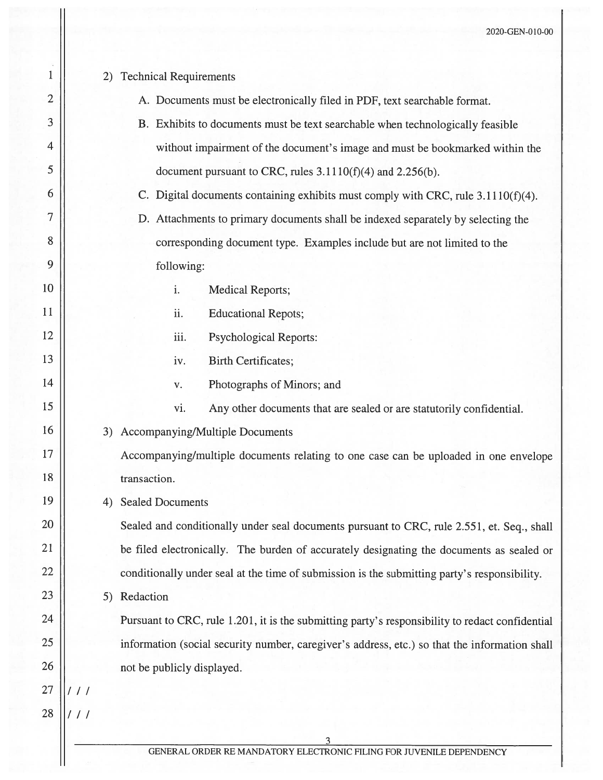| 1  | <b>Technical Requirements</b><br>2)                                                           |                                                                                                 |  |
|----|-----------------------------------------------------------------------------------------------|-------------------------------------------------------------------------------------------------|--|
| 2  |                                                                                               | A. Documents must be electronically filed in PDF, text searchable format.                       |  |
| 3  |                                                                                               | B. Exhibits to documents must be text searchable when technologically feasible                  |  |
| 4  |                                                                                               | without impairment of the document's image and must be bookmarked within the                    |  |
| 5  |                                                                                               | document pursuant to CRC, rules $3.1110(f)(4)$ and $2.256(b)$ .                                 |  |
| 6  |                                                                                               | C. Digital documents containing exhibits must comply with CRC, rule 3.1110(f)(4).               |  |
| 7  |                                                                                               | D. Attachments to primary documents shall be indexed separately by selecting the                |  |
| 8  |                                                                                               | corresponding document type. Examples include but are not limited to the                        |  |
| 9  |                                                                                               | following:                                                                                      |  |
| 10 |                                                                                               | i.<br><b>Medical Reports;</b>                                                                   |  |
| 11 |                                                                                               | ii.<br><b>Educational Repots;</b>                                                               |  |
| 12 |                                                                                               | iii.<br><b>Psychological Reports:</b>                                                           |  |
| 13 |                                                                                               | iv.<br><b>Birth Certificates;</b>                                                               |  |
| 14 |                                                                                               | Photographs of Minors; and<br>$\mathbf{V}$ .                                                    |  |
| 15 |                                                                                               | vi.<br>Any other documents that are sealed or are statutorily confidential.                     |  |
| 16 |                                                                                               | 3) Accompanying/Multiple Documents                                                              |  |
| 17 |                                                                                               | Accompanying/multiple documents relating to one case can be uploaded in one envelope            |  |
| 18 | transaction.                                                                                  |                                                                                                 |  |
| 19 | <b>Sealed Documents</b><br>4)                                                                 |                                                                                                 |  |
| 20 |                                                                                               | Sealed and conditionally under seal documents pursuant to CRC, rule 2.551, et. Seq., shall      |  |
| 21 |                                                                                               | be filed electronically. The burden of accurately designating the documents as sealed or        |  |
| 22 |                                                                                               | conditionally under seal at the time of submission is the submitting party's responsibility.    |  |
| 23 | Redaction<br>5)                                                                               |                                                                                                 |  |
| 24 |                                                                                               | Pursuant to CRC, rule 1.201, it is the submitting party's responsibility to redact confidential |  |
| 25 | information (social security number, caregiver's address, etc.) so that the information shall |                                                                                                 |  |
| 26 |                                                                                               | not be publicly displayed.                                                                      |  |
| 27 |                                                                                               |                                                                                                 |  |
| 28 |                                                                                               |                                                                                                 |  |
|    |                                                                                               | GENERAL ORDER RE MANDATORY ELECTRONIC FILING FOR JUVENILE DEPENDENCY                            |  |
|    |                                                                                               |                                                                                                 |  |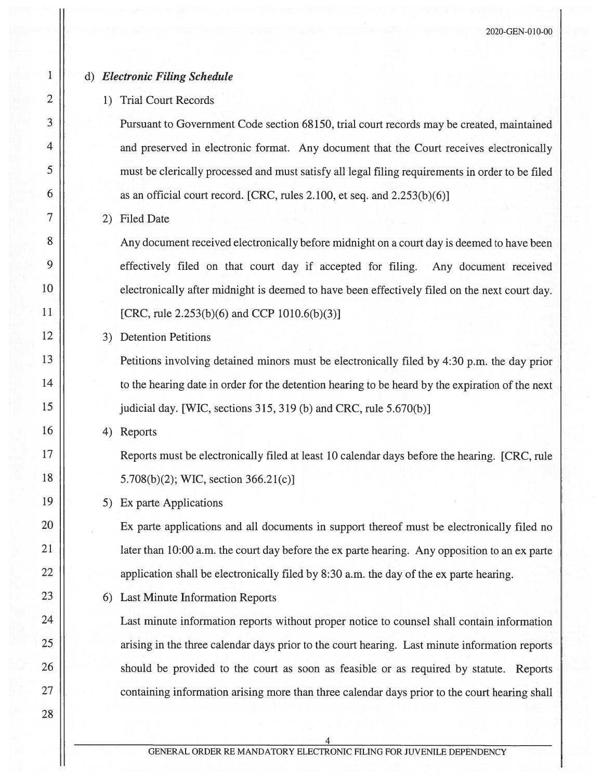## <sup>1</sup> d) Electronic filing Schedule

# 2 | 1) Trial Court Records

 Pursuant to Government Code section 68150, trial court records may be created, maintained 4 | and preserved in electronic format. Any document that the Court receives electronically must be clerically processe<sup>d</sup> and must satisfy all legal filing requirements in order to be filed  $\parallel$  as an official court record. [CRC, rules 2.100, et seq. and 2.253(b)(6)]

## 7 2) Filed Date

8 | Any document received electronically before midnight on a court day is deemed to have been 9 || effectively filed on that court day if accepted for filing. Any document received 10 electronically after midnight is deemed to have been effectively filed on the next court day. 11 || [CRC, rule  $2.253(b)(6)$  and CCP 1010.6(b)(3)]

#### 12 | 3) Detention Petitions

13 **Petitions involving detained minors must be electronically filed by 4:30 p.m.** the day prior 14 to the hearing date in order for the detention hearing to be heard by the expiration of the next 15 | judicial day. [WIC, sections 315, 319 (b) and CRC, rule 5.670(b)]

 $16 \parallel$  4) Reports

<sup>17</sup> Reports must be electronically filed at least <sup>10</sup> calendar days before the hearing. [CRC, rule 18 | 5.708(b)(2); WIC, section 366.21(c)]

19 | 5) Ex parte Applications

<sup>20</sup> Ex parte applications and all documents in suppor<sup>t</sup> thereof must be electronically filed no 21 | later than 10:00 a.m. the court day before the ex parte hearing. Any opposition to an ex parte 22 | application shall be electronically filed by 8:30 a.m. the day of the ex parte hearing.

23 | 6) Last Minute Information Reports

<sup>24</sup> Last minute information reports without proper notice to counsel shall contain information 25 || arising in the three calendar days prior to the court hearing. Last minute information reports 26 | should be provided to the court as soon as feasible or as required by statute. Reports 27 | containing information arising more than three calendar days prior to the court hearing shall

28